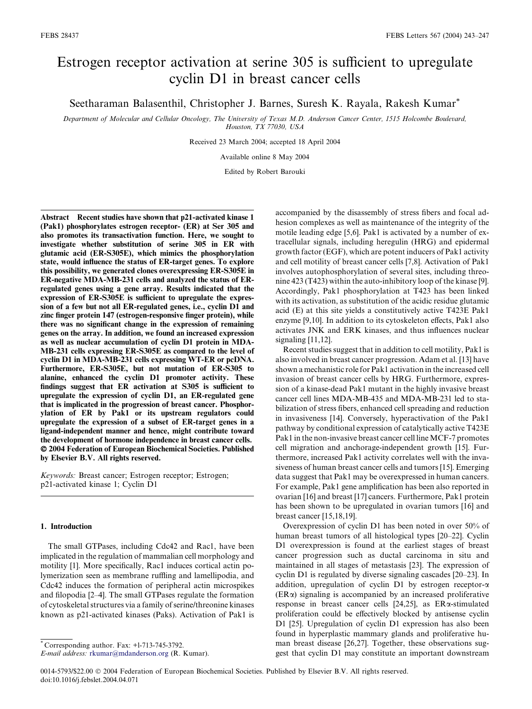# Estrogen receptor activation at serine 305 is sufficient to upregulate cyclin D1 in breast cancer cells

Seetharaman Balasenthil, Christopher J. Barnes, Suresh K. Rayala, Rakesh Kumar\*

*Department of Molecular and Cellular Oncology, The University of Texas M.D. Anderson Cancer Center, 1515 Holcombe Boulevard, Houston, TX 77030, USA*

Received 23 March 2004; accepted 18 April 2004

Available online 8 May 2004

Edited by Robert Barouki

Abstract Recent studies have shown that p21-activated kinase 1 (Pak1) phosphorylates estrogen receptor- (ER) at Ser 305 and also promotes its transactivation function. Here, we sought to investigate whether substitution of serine 305 in ER with glutamic acid (ER-S305E), which mimics the phosphorylation state, would influence the status of ER-target genes. To explore this possibility, we generated clones overexpressing ER-S305E in ER-negative MDA-MB-231 cells and analyzed the status of ERregulated genes using a gene array. Results indicated that the expression of ER-S305E is sufficient to upregulate the expression of a few but not all ER-regulated genes, i.e., cyclin D1 and zinc finger protein 147 (estrogen-responsive finger protein), while there was no significant change in the expression of remaining genes on the array. In addition, we found an increased expression as well as nuclear accumulation of cyclin D1 protein in MDA-MB-231 cells expressing ER-S305E as compared to the level of cyclin D1 in MDA-MB-231 cells expressing WT-ER or pcDNA. Furthermore, ER-S305E, but not mutation of ER-S305 to alanine, enhanced the cyclin D1 promoter activity. These findings suggest that ER activation at S305 is sufficient to upregulate the expression of cyclin D1, an ER-regulated gene that is implicated in the progression of breast cancer. Phosphorylation of ER by Pak1 or its upstream regulators could upregulate the expression of a subset of ER-target genes in a ligand-independent manner and hence, might contribute toward the development of hormone independence in breast cancer cells. 2004 Federation of European Biochemical Societies. Published by Elsevier B.V. All rights reserved.

*Keywords:* Breast cancer; Estrogen receptor; Estrogen; p21-activated kinase 1; Cyclin D1

# 1. Introduction

The small GTPases, including Cdc42 and Rac1, have been implicated in the regulation of mammalian cell morphology and motility [1]. More specifically, Rac1 induces cortical actin polymerization seen as membrane ruffling and lamellipodia, and Cdc42 induces the formation of peripheral actin microspikes and filopodia [2–4]. The small GTPases regulate the formation of cytoskeletal structures via a family of serine/threonine kinases known as p21-activated kinases (Paks). Activation of Pak1 is

\* Corresponding author. Fax: +l-713-745-3792.

accompanied by the disassembly of stress fibers and focal adhesion complexes as well as maintenance of the integrity of the motile leading edge [5,6]. Pak1 is activated by a number of extracellular signals, including heregulin (HRG) and epidermal growth factor (EGF), which are potent inducers of Pak1 activity and cell motility of breast cancer cells [7,8]. Activation of Pak1 involves autophosphorylation of several sites, including threonine 423 (T423) within the auto-inhibitory loop of the kinase [9]. Accordingly, Pak1 phosphorylation at T423 has been linked with its activation, as substitution of the acidic residue glutamic acid (E) at this site yields a constitutively active T423E Pak1 enzyme [9,10]. In addition to its cytoskeleton effects, Pak1 also activates JNK and ERK kinases, and thus influences nuclear signaling [11,12].

Recent studies suggest that in addition to cell motility, Pak1 is also involved in breast cancer progression. Adam et al. [13] have shown a mechanistic role for Pak1 activation in the increased cell invasion of breast cancer cells by HRG. Furthermore, expression of a kinase-dead Pak1 mutant in the highly invasive breast cancer cell lines MDA-MB-435 and MDA-MB-231 led to stabilization of stress fibers, enhanced cell spreading and reduction in invasiveness [14]. Conversely, hyperactivation of the Pak1 pathway by conditional expression of catalytically active T423E Pak1 in the non-invasive breast cancer cell line MCF-7 promotes cell migration and anchorage-independent growth [15]. Furthermore, increased Pak1 activity correlates well with the invasiveness of human breast cancer cells and tumors [15]. Emerging data suggest that Pak1 may be overexpressed in human cancers. For example, Pak1 gene amplification has been also reported in ovarian [16] and breast [17] cancers. Furthermore, Pak1 protein has been shown to be upregulated in ovarian tumors [16] and breast cancer [15,18,19].

Overexpression of cyclin D1 has been noted in over 50% of human breast tumors of all histological types [20–22]. Cyclin D1 overexpression is found at the earliest stages of breast cancer progression such as ductal carcinoma in situ and maintained in all stages of metastasis [23]. The expression of cyclin D1 is regulated by diverse signaling cascades [20–23]. In addition, upregulation of cyclin D1 by estrogen receptor- $\alpha$  $(ER\alpha)$  signaling is accompanied by an increased proliferative response in breast cancer cells  $[24,25]$ , as ER $\alpha$ -stimulated proliferation could be effectively blocked by antisense cyclin D1 [25]. Upregulation of cyclin D1 expression has also been found in hyperplastic mammary glands and proliferative human breast disease [26,27]. Together, these observations suggest that cyclin D1 may constitute an important downstream

*E-mail address:* rkumar@mdanderson.org (R. Kumar).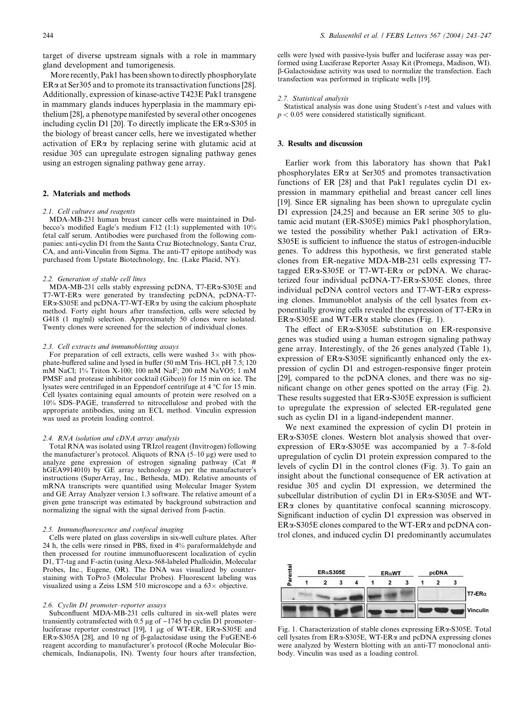target of diverse upstream signals with a role in mammary gland development and tumorigenesis.

More recently, Pak1 has been shown to directly phosphorylate  $ER\alpha$  at Ser305 and to promote its transactivation functions [28]. Additionally, expression of kinase-active T423E Pak1 transgene in mammary glands induces hyperplasia in the mammary epithelium [28], a phenotype manifested by several other oncogenes including cyclin D1 [20]. To directly implicate the  $ER\alpha$ -S305 in the biology of breast cancer cells, here we investigated whether activation of ERa by replacing serine with glutamic acid at residue 305 can upregulate estrogen signaling pathway genes using an estrogen signaling pathway gene array.

# 2. Materials and methods

## *2.1. Cell cultures and reagents*

MDA-MB-231 human breast cancer cells were maintained in Dulbecco's modified Eagle's medium F12 (1:1) supplemented with 10% fetal calf serum. Antibodies were purchased from the following companies: anti-cyclin D1 from the Santa Cruz Biotechnology, Santa Cruz, CA, and anti-Vinculin from Sigma. The anti-T7 epitope antibody was purchased from Upstate Biotechnology, Inc. (Lake Placid, NY).

#### *2.2. Generation of stable cell lines*

MDA-MB-231 cells stably expressing pcDNA, T7-ER $\alpha$ -S305E and T7-WT-ERa were generated by transfecting pcDNA, pcDNA-T7-  $ER \alpha$ -S305E and pcDNA-T7-WT-ER $\alpha$  by using the calcium phosphate method. Forty eight hours after transfection, cells were selected by G418 (1 mg/ml) selection. Approximately 50 clones were isolated. Twenty clones were screened for the selection of individual clones.

#### *2.3. Cell extracts and immunoblotting assays*

For preparation of cell extracts, cells were washed  $3\times$  with phosphate-buffered saline and lysed in buffer (50 mM Tris–HCl, pH 7.5; 120 mM NaCl; 1% Triton X-100; 100 mM NaF; 200 mM NaVO5; 1 mM PMSF and protease inhibitor cocktail (Gibco)) for 15 min on ice. The lysates were centrifuged in an Eppendorf centrifuge at 4 °C for 15 min. Cell lysates containing equal amounts of protein were resolved on a 10% SDS–PAGE, transferred to nitrocellulose and probed with the appropriate antibodies, using an ECL method. Vinculin expression was used as protein loading control.

# *2.4. RNA isolation and cDNA array analysis*

Total RNA was isolated using TRIzol reagent (Invitrogen) following the manufacturer's protocol. Aliquots of RNA  $(5-10 \mu g)$  were used to analyze gene expression of estrogen signaling pathway (Cat # hGEA9914010) by GE array technology as per the manufacturer's instructions (SuperArray, Inc., Bethesda, MD). Relative amounts of mRNA transcripts were quantified using Molecular Imager System and GE Array Analyzer version 1.3 software. The relative amount of a given gene transcript was estimated by background substraction and normalizing the signal with the signal derived from  $\beta$ -actin.

## *2.5. Immunofluorescence and confocal imaging*

Cells were plated on glass coverslips in six-well culture plates. After 24 h, the cells were rinsed in PBS, fixed in 4% paraformaldehyde and then processed for routine immunofluorescent localization of cyclin D1, T7-tag and F-actin (using Alexa-568-labeled Phalloidin, Molecular Probes, Inc., Eugene, OR). The DNA was visualized by counterstaining with ToPro3 (Molecular Probes). Fluorescent labeling was visualized using a Zeiss LSM 510 microscope and a  $63\times$  objective.

## *2.6. Cyclin D1 promoter–reporter assays*

Subconfluent MDA-MB-231 cells cultured in six-well plates were transiently cotransfected with 0.5  $\mu$ g of  $-1745$  bp cyclin D1 promoter– luciferase reporter construct [19],  $\overline{1}$  µg of WT-ER, ER $\alpha$ -S305E and ER $\alpha$ -S305A [28], and 10 ng of  $\beta$ -galactosidase using the FuGENE-6 reagent according to manufacturer's protocol (Roche Molecular Biochemicals, Indianapolis, IN). Twenty four hours after transfection,

cells were lysed with passive-lysis buffer and luciferase assay was performed using Luciferase Reporter Assay Kit (Promega, Madison, WI). b-Galactosidase activity was used to normalize the transfection. Each transfection was performed in triplicate wells [19].

### *2.7. Statistical analysis*

Statistical analysis was done using Student's t-test and values with  $p < 0.05$  were considered statistically significant.

## 3. Results and discussion

Earlier work from this laboratory has shown that Pak1 phosphorylates  $ER\alpha$  at Ser305 and promotes transactivation functions of ER [28] and that Pak1 regulates cyclin D1 expression in mammary epithelial and breast cancer cell lines [19]. Since ER signaling has been shown to upregulate cyclin D1 expression [24,25] and because an ER serine 305 to glutamic acid mutant (ER-S305E) mimics Pak1 phosphorylation, we tested the possibility whether Pak1 activation of ERa-S305E is sufficient to influence the status of estrogen-inducible genes. To address this hypothesis, we first generated stable clones from ER-negative MDA-MB-231 cells expressing T7 tagged ERa-S305E or T7-WT-ERa or pcDNA. We characterized four individual pcDNA-T7-ERa-S305E clones, three individual pcDNA control vectors and  $T7-WT-ER\alpha$  expressing clones. Immunoblot analysis of the cell lysates from exponentially growing cells revealed the expression of  $T7-ER\alpha$  in  $ER\alpha$ -S305E and WT-ER $\alpha$  stable clones (Fig. 1).

The effect of ERa-S305E substitution on ER-responsive genes was studied using a human estrogen signaling pathway gene array. Interestingly, of the 26 genes analyzed (Table 1), expression of ER $\alpha$ -S305E significantly enhanced only the expression of cyclin D1 and estrogen-responsive finger protein [29], compared to the pcDNA clones, and there was no significant change on other genes spotted on the array (Fig. 2). These results suggested that  $ER\alpha$ -S305E expression is sufficient to upregulate the expression of selected ER-regulated gene such as cyclin D1 in a ligand-independent manner.

We next examined the expression of cyclin D1 protein in ERa-S305E clones. Western blot analysis showed that overexpression of  $ER\alpha$ -S305E was accompanied by a 7–8-fold upregulation of cyclin D1 protein expression compared to the levels of cyclin D1 in the control clones (Fig. 3). To gain an insight about the functional consequence of ER activation at residue 305 and cyclin D1 expression, we determined the subcellular distribution of cyclin D1 in ERa-S305E and WT-ER<sub>a</sub> clones by quantitative confocal scanning microscopy. Significant induction of cyclin D1 expression was observed in  $ER\alpha$ -S305E clones compared to the WT-ER $\alpha$  and pcDNA control clones, and induced cyclin D1 predominantly accumulates



Fig. 1. Characterization of stable clones expressing ERa-S305E. Total cell lysates from ERa-S305E, WT-ERa and pcDNA expressing clones were analyzed by Western blotting with an anti-T7 monoclonal antibody. Vinculin was used as a loading control.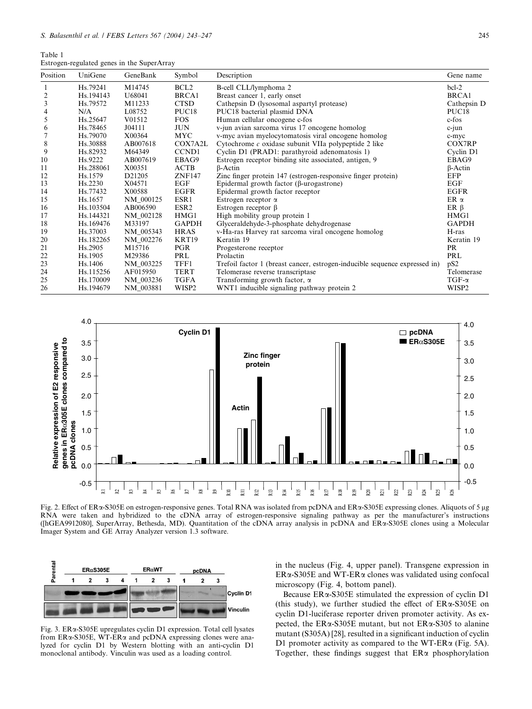| Table 1                                    |  |  |
|--------------------------------------------|--|--|
| Estrogen-regulated genes in the SuperArray |  |  |

| Position | UniGene              | GeneBank  | Symbol            | Description                                                                | Gene name         |
|----------|----------------------|-----------|-------------------|----------------------------------------------------------------------------|-------------------|
|          | Hs.79241             | M14745    | BCL <sub>2</sub>  | B-cell CLL/lymphoma 2                                                      | $bc1-2$           |
| 2        | Hs.194143            | U68041    | BRCA1             | Breast cancer 1, early onset                                               | <b>BRCA1</b>      |
| 3        | Hs.79572             | M11233    | <b>CTSD</b>       | Cathepsin D (lysosomal aspartyl protease)                                  | Cathepsin D       |
| 4        | N/A                  | L08752    | PUC <sub>18</sub> | PUC18 bacterial plasmid DNA                                                | PUC <sub>18</sub> |
| 5        | Hs.25647             | V01512    | <b>FOS</b>        | Human cellular oncogene c-fos                                              | c-fos             |
| 6        | Hs.78465             | J04111    | <b>JUN</b>        | v-jun avian sarcoma virus 17 oncogene homolog                              | $c$ -jun          |
|          | Hs.79070             | X00364    | <b>MYC</b>        | v-myc avian myelocytomatosis viral oncogene homolog                        | c-myc             |
| 8        | Hs.30888             | AB007618  | COX7A2L           | Cytochrome $c$ oxidase subunit VIIa polypeptide 2 like                     | COX7RP            |
| 9        | Hs.82932             | M64349    | CCND1             | Cyclin D1 (PRAD1: parathyroid adenomatosis 1)                              | Cyclin D1         |
| 10       | H <sub>s</sub> .9222 | AB007619  | EBAG9             | Estrogen receptor binding site associated, antigen, 9                      | EBAG9             |
| 11       | Hs.288061            | X00351    | ACTB              | $\beta$ -Actin                                                             | $\beta$ -Actin    |
| 12       | Hs.1579              | D21205    | <b>ZNF147</b>     | Zinc finger protein 147 (estrogen-responsive finger protein)               | EFP               |
| 13       | Hs.2230              | X04571    | EGF               | Epidermal growth factor ( $\beta$ -urogastrone)                            | EGF               |
| 14       | Hs.77432             | X00588    | EGFR              | Epidermal growth factor receptor                                           | <b>EGFR</b>       |
| 15       | Hs.1657              | NM_000125 | ESR1              | Estrogen receptor $\alpha$                                                 | ER $\alpha$       |
| 16       | Hs.103504            | AB006590  | ESR <sub>2</sub>  | Estrogen receptor $\beta$                                                  | $ER \beta$        |
| 17       | Hs.144321            | NM 002128 | HMG1              | High mobility group protein 1                                              | HMG1              |
| 18       | Hs.169476            | M33197    | <b>GAPDH</b>      | Glyceraldehyde-3-phosphate dehydrogenase                                   | <b>GAPDH</b>      |
| 19       | Hs.37003             | NM_005343 | <b>HRAS</b>       | v-Ha-ras Harvey rat sarcoma viral oncogene homolog                         | H-ras             |
| 20       | Hs.182265            | NM 002276 | KRT19             | Keratin 19                                                                 | Keratin 19        |
| 21       | Hs.2905              | M15716    | <b>PGR</b>        | Progesterone receptor                                                      | PR                |
| 22       | Hs.1905              | M29386    | PRL               | Prolactin                                                                  | PRL               |
| 23       | Hs.1406              | NM_003225 | TFF1              | Trefoil factor 1 (breast cancer, estrogen-inducible sequence expressed in) | pS <sub>2</sub>   |
| 24       | Hs.115256            | AF015950  | <b>TERT</b>       | Telomerase reverse transcriptase                                           | Telomerase        |
| 25       | Hs.170009            | NM_003236 | TGFA              | Transforming growth factor, $\alpha$                                       | $TGF-\alpha$      |
| 26       | Hs.194679            | NM_003881 | WISP <sub>2</sub> | WNT1 inducible signaling pathway protein 2                                 | WISP <sub>2</sub> |



Fig. 2. Effect of ERa-S305E on estrogen-responsive genes. Total RNA was isolated from pcDNA and ERa-S305E expressing clones. Aliquots of 5 µg RNA were taken and hybridized to the cDNA array of estrogen-responsive signaling pathway as per the manufacturer's instructions ([hGEA9912080], SuperArray, Bethesda, MD). Quantitation of the cDNA array analysis in pcDNA and ERa-S305E clones using a Molecular Imager System and GE Array Analyzer version 1.3 software.



Fig. 3. ERa-S305E upregulates cyclin D1 expression. Total cell lysates from ERa-S305E, WT-ERa and pcDNA expressing clones were analyzed for cyclin D1 by Western blotting with an anti-cyclin D1 monoclonal antibody. Vinculin was used as a loading control.

in the nucleus (Fig. 4, upper panel). Transgene expression in ERa-S305E and WT-ERa clones was validated using confocal microscopy (Fig. 4, bottom panel).

Because ERa-S305E stimulated the expression of cyclin D1 (this study), we further studied the effect of  $ER\alpha$ -S305E on cyclin D1-luciferase reporter driven promoter activity. As expected, the ER $\alpha$ -S305E mutant, but not ER $\alpha$ -S305 to alanine mutant (S305A) [28], resulted in a significant induction of cyclin D1 promoter activity as compared to the WT-ER $\alpha$  (Fig. 5A). Together, these findings suggest that  $ER\alpha$  phosphorylation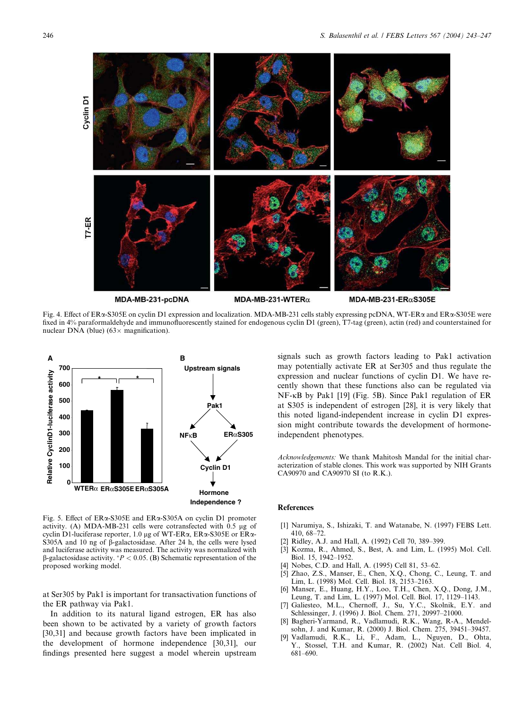

MDA-MB-231-pcDNA

MDA-MB-231-WTER $\alpha$ 

MDA-MB-231-ER $\alpha$ S305E

Fig. 4. Effect of ER<sub>x</sub>-S305E on cyclin D1 expression and localization. MDA-MB-231 cells stably expressing pcDNA, WT-ER<sub>x</sub> and ER<sub>x</sub>-S305E were fixed in 4% paraformaldehyde and immunofluorescently stained for endogenous cyclin D1 (green), T7-tag (green), actin (red) and counterstained for nuclear DNA (blue) ( $63 \times$  magnification).



Fig. 5. Effect of ERa-S305E and ERa-S305A on cyclin D1 promoter activity. (A) MDA-MB-231 cells were cotransfected with  $\overline{0.5}$  µg of cyclin D1-luciferase reporter, 1.0  $\mu$ g of WT-ER $\alpha$ , ER $\alpha$ -S305E or ER $\alpha$ -S305A and 10 ng of  $\hat{\beta}$ -galactosidase. After 24 h, the cells were lysed and luciferase activity was measured. The activity was normalized with  $\beta$ -galactosidase activity. \*  $P < 0.05$ . (B) Schematic representation of the proposed working model.

at Ser305 by Pak1 is important for transactivation functions of the ER pathway via Pak1.

In addition to its natural ligand estrogen, ER has also been shown to be activated by a variety of growth factors [30,31] and because growth factors have been implicated in the development of hormone independence [30,31], our findings presented here suggest a model wherein upstream

signals such as growth factors leading to Pak1 activation may potentially activate ER at Ser305 and thus regulate the expression and nuclear functions of cyclin D1. We have recently shown that these functions also can be regulated via  $NF$ - $\kappa$ B by Pak1 [19] (Fig. 5B). Since Pak1 regulation of ER at S305 is independent of estrogen [28], it is very likely that this noted ligand-independent increase in cyclin D1 expression might contribute towards the development of hormoneindependent phenotypes.

*Acknowledgements:* We thank Mahitosh Mandal for the initial characterization of stable clones. This work was supported by NIH Grants CA90970 and CA90970 SI (to R.K.).

# **References**

- [1] Narumiya, S., Ishizaki, T. and Watanabe, N. (1997) FEBS Lett. 410, 68–72.
- [2] Ridley, A.J. and Hall, A. (1992) Cell 70, 389–399.
- [3] Kozma, R., Ahmed, S., Best, A. and Lim, L. (1995) Mol. Cell. Biol. 15, 1942–1952.
- Nobes, C.D. and Hall, A. (1995) Cell 81, 53–62.
- [5] Zhao, Z.S., Manser, E., Chen, X.Q., Chong, C., Leung, T. and Lim, L. (1998) Mol. Cell. Biol. 18, 2153–2163.
- Manser, E., Huang, H.Y., Loo, T.H., Chen, X.Q., Dong, J.M., Leung, T. and Lim, L. (1997) Mol. Cell. Biol. 17, 1129–1143.
- [7] Galiesteo, M.L., Chernoff, J., Su, Y.C., Skolnik, E.Y. and Schlessinger, J. (1996) J. Biol. Chem. 271, 20997–21000.
- [8] Bagheri-Yarmand, R., Vadlamudi, R.K., Wang, R-A., Mendelsohn, J. and Kumar, R. (2000) J. Biol. Chem. 275, 39451–39457.
- Vadlamudi, R.K., Li, F., Adam, L., Nguyen, D., Ohta, Y., Stossel, T.H. and Kumar, R. (2002) Nat. Cell Biol. 4, 681–690.